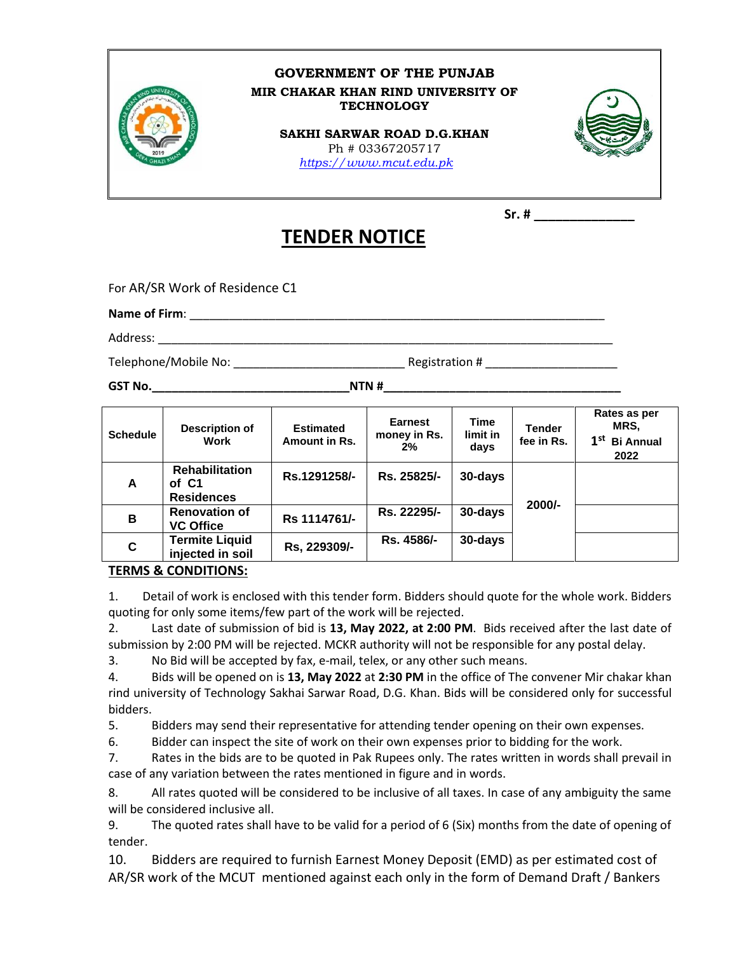

## **GOVERNMENT OF THE PUNJAB MIR CHAKAR KHAN RIND UNIVERSITY OF TECHNOLOGY**

**SAKHI SARWAR ROAD D.G.KHAN** Ph # 03367205717  *[https://www.mcut.edu.pk](https://www.mcut.edu.pk/)* 



 **Sr. # \_\_\_\_\_\_\_\_\_\_\_\_\_\_**

## **TENDER NOTICE**

For AR/SR Work of Residence C1

**Name of Firm**: \_\_\_\_\_\_\_\_\_\_\_\_\_\_\_\_\_\_\_\_\_\_\_\_\_\_\_\_\_\_\_\_\_\_\_\_\_\_\_\_\_\_\_\_\_\_\_\_\_\_\_\_\_\_\_\_\_\_\_\_\_\_\_

Address:

Telephone/Mobile No: \_\_\_\_\_\_\_\_\_\_\_\_\_\_\_\_\_\_\_\_\_\_\_\_\_\_ Registration # \_\_\_\_\_\_\_\_\_\_\_\_\_\_\_\_\_\_\_\_

**GST No.\_\_\_\_\_\_\_\_\_\_\_\_\_\_\_\_\_\_\_\_\_\_\_\_\_\_\_\_\_\_NTN #\_\_\_\_\_\_\_\_\_\_\_\_\_\_\_\_\_\_\_\_\_\_\_\_\_\_\_\_\_\_\_\_\_\_\_\_**

| <b>Schedule</b> | <b>Description of</b><br>Work                       | <b>Estimated</b><br>Amount in Rs. | <b>Earnest</b><br>money in Rs.<br>2% | Time<br>limit in<br>days | <b>Tender</b><br>fee in Rs. | Rates as per<br>MRS.<br>1 <sup>st</sup><br><b>Bi Annual</b><br>2022 |
|-----------------|-----------------------------------------------------|-----------------------------------|--------------------------------------|--------------------------|-----------------------------|---------------------------------------------------------------------|
| A               | <b>Rehabilitation</b><br>of C1<br><b>Residences</b> | Rs.1291258/-                      | Rs. 25825/-                          | 30-days                  | $2000/-$                    |                                                                     |
| B               | <b>Renovation of</b><br><b>VC Office</b>            | Rs 1114761/-                      | Rs. 22295/-                          | 30-days                  |                             |                                                                     |
| C               | <b>Termite Liquid</b><br>injected in soil           | Rs, 229309/-                      | Rs. 4586/-                           | 30-days                  |                             |                                                                     |

## **TERMS & CONDITIONS:**

1. Detail of work is enclosed with this tender form. Bidders should quote for the whole work. Bidders quoting for only some items/few part of the work will be rejected.

2. Last date of submission of bid is **13, May 2022, at 2:00 PM**. Bids received after the last date of submission by 2:00 PM will be rejected. MCKR authority will not be responsible for any postal delay.

3. No Bid will be accepted by fax, e-mail, telex, or any other such means.

4. Bids will be opened on is **13, May 2022** at **2:30 PM** in the office of The convener Mir chakar khan rind university of Technology Sakhai Sarwar Road, D.G. Khan. Bids will be considered only for successful bidders.

5. Bidders may send their representative for attending tender opening on their own expenses.

6. Bidder can inspect the site of work on their own expenses prior to bidding for the work.

7. Rates in the bids are to be quoted in Pak Rupees only. The rates written in words shall prevail in case of any variation between the rates mentioned in figure and in words.

8. All rates quoted will be considered to be inclusive of all taxes. In case of any ambiguity the same will be considered inclusive all.

9. The quoted rates shall have to be valid for a period of 6 (Six) months from the date of opening of tender.

10. Bidders are required to furnish Earnest Money Deposit (EMD) as per estimated cost of AR/SR work of the MCUT mentioned against each only in the form of Demand Draft / Bankers